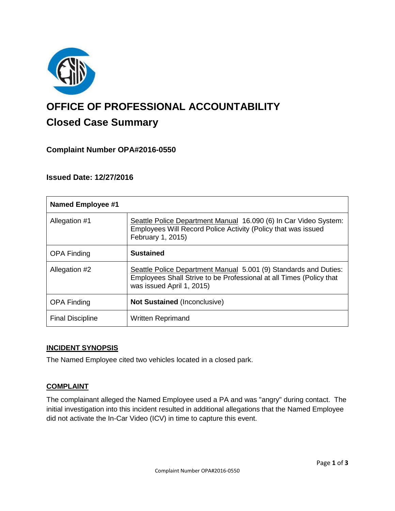

# **OFFICE OF PROFESSIONAL ACCOUNTABILITY Closed Case Summary**

# **Complaint Number OPA#2016-0550**

# **Issued Date: 12/27/2016**

| <b>Named Employee #1</b> |                                                                                                                                                                      |
|--------------------------|----------------------------------------------------------------------------------------------------------------------------------------------------------------------|
| Allegation #1            | Seattle Police Department Manual 16.090 (6) In Car Video System:<br>Employees Will Record Police Activity (Policy that was issued<br>February 1, 2015)               |
| <b>OPA Finding</b>       | <b>Sustained</b>                                                                                                                                                     |
| Allegation #2            | Seattle Police Department Manual 5.001 (9) Standards and Duties:<br>Employees Shall Strive to be Professional at all Times (Policy that<br>was issued April 1, 2015) |
| <b>OPA Finding</b>       | <b>Not Sustained (Inconclusive)</b>                                                                                                                                  |
| <b>Final Discipline</b>  | <b>Written Reprimand</b>                                                                                                                                             |

### **INCIDENT SYNOPSIS**

The Named Employee cited two vehicles located in a closed park.

# **COMPLAINT**

The complainant alleged the Named Employee used a PA and was "angry" during contact. The initial investigation into this incident resulted in additional allegations that the Named Employee did not activate the In-Car Video (ICV) in time to capture this event.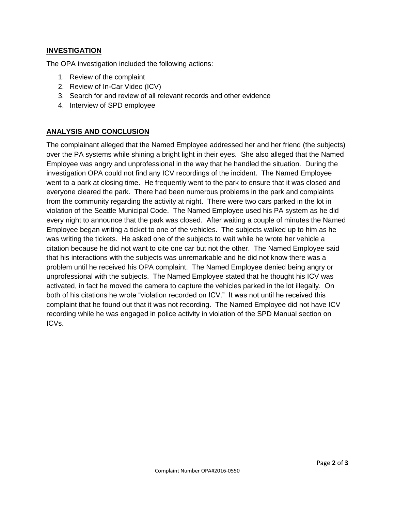## **INVESTIGATION**

The OPA investigation included the following actions:

- 1. Review of the complaint
- 2. Review of In-Car Video (ICV)
- 3. Search for and review of all relevant records and other evidence
- 4. Interview of SPD employee

## **ANALYSIS AND CONCLUSION**

The complainant alleged that the Named Employee addressed her and her friend (the subjects) over the PA systems while shining a bright light in their eyes. She also alleged that the Named Employee was angry and unprofessional in the way that he handled the situation. During the investigation OPA could not find any ICV recordings of the incident. The Named Employee went to a park at closing time. He frequently went to the park to ensure that it was closed and everyone cleared the park. There had been numerous problems in the park and complaints from the community regarding the activity at night. There were two cars parked in the lot in violation of the Seattle Municipal Code. The Named Employee used his PA system as he did every night to announce that the park was closed. After waiting a couple of minutes the Named Employee began writing a ticket to one of the vehicles. The subjects walked up to him as he was writing the tickets. He asked one of the subjects to wait while he wrote her vehicle a citation because he did not want to cite one car but not the other. The Named Employee said that his interactions with the subjects was unremarkable and he did not know there was a problem until he received his OPA complaint. The Named Employee denied being angry or unprofessional with the subjects. The Named Employee stated that he thought his ICV was activated, in fact he moved the camera to capture the vehicles parked in the lot illegally. On both of his citations he wrote "violation recorded on ICV." It was not until he received this complaint that he found out that it was not recording. The Named Employee did not have ICV recording while he was engaged in police activity in violation of the SPD Manual section on ICVs.